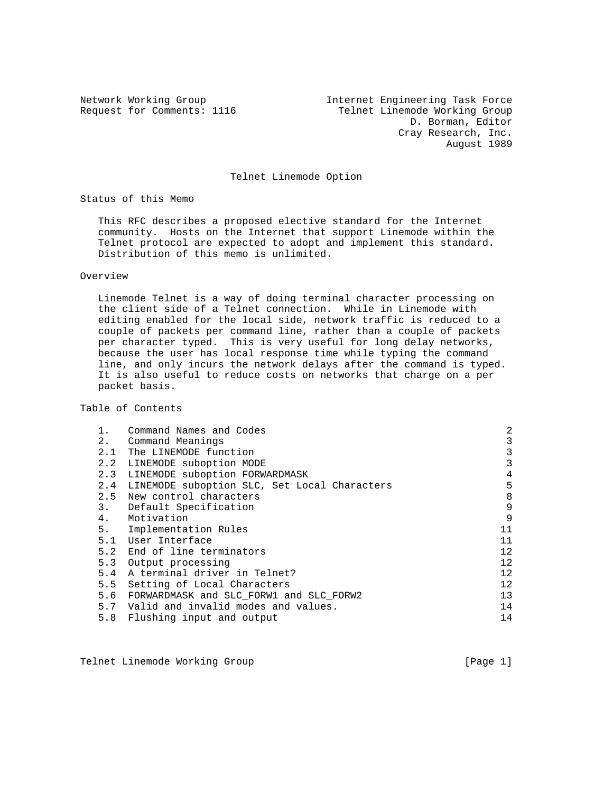Network Working Group Internet Engineering Task Force Request for Comments: 1116 Telnet Linemode Working Group D. Borman, Editor Cray Research, Inc. August 1989

#### Telnet Linemode Option

Status of this Memo

 This RFC describes a proposed elective standard for the Internet community. Hosts on the Internet that support Linemode within the Telnet protocol are expected to adopt and implement this standard. Distribution of this memo is unlimited.

#### Overview

 Linemode Telnet is a way of doing terminal character processing on the client side of a Telnet connection. While in Linemode with editing enabled for the local side, network traffic is reduced to a couple of packets per command line, rather than a couple of packets per character typed. This is very useful for long delay networks, because the user has local response time while typing the command line, and only incurs the network delays after the command is typed. It is also useful to reduce costs on networks that charge on a per packet basis.

### Table of Contents

|     | Command Names and Codes                      | 2  |
|-----|----------------------------------------------|----|
| 2.  | Command Meanings                             | 3  |
| 2.1 | The LINEMODE function                        | 3  |
| 2.2 | LINEMODE suboption MODE                      | 3  |
| 2.3 | LINEMODE suboption FORWARDMASK               | 4  |
| 2.4 | LINEMODE suboption SLC, Set Local Characters | 5  |
| 2.5 | New control characters                       | 8  |
| 3.  | Default Specification                        | 9  |
| 4.  | Motivation                                   | 9  |
| 5.  | Implementation Rules                         | 11 |
|     | 5.1 User Interface                           | 11 |
|     | 5.2 End of line terminators                  | 12 |
| 5.3 | Output processing                            | 12 |
|     | 5.4 A terminal driver in Telnet?             | 12 |
| 5.5 | Setting of Local Characters                  | 12 |
| 5.6 | FORWARDMASK and SLC FORW1 and SLC FORW2      | 13 |
| 5.7 | Valid and invalid modes and values.          | 14 |
|     | 5.8 Flushing input and output                | 14 |

Telnet Linemode Working Group and the control of the control of the control of the control of the control of the control of the control of the control of the control of the control of the control of the control of the cont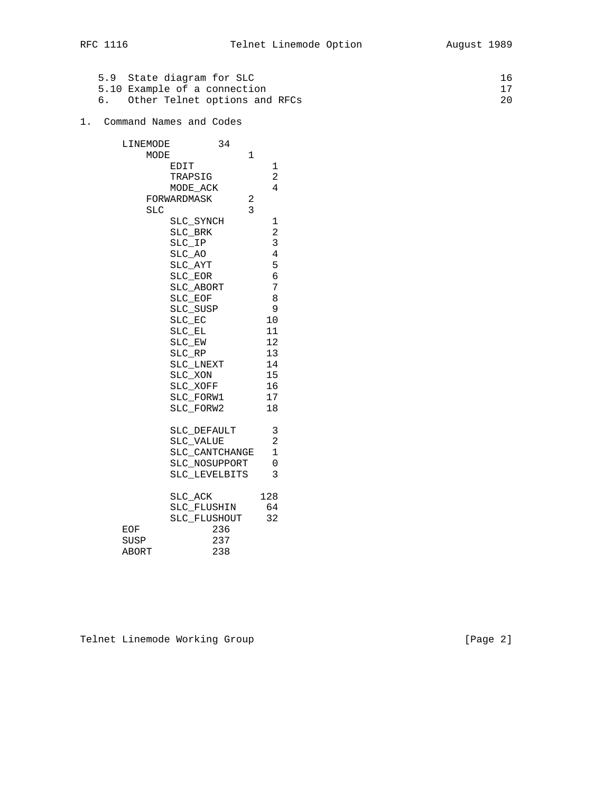|  | 5.9 State diagram for SLC     | 16 |
|--|-------------------------------|----|
|  | 5.10 Example of a connection  |    |
|  | Other Telnet options and RFCs | 20 |

## 1. Command Names and Codes

| LINEMODE   | 34               |                |
|------------|------------------|----------------|
| MODE       | $\mathbf{1}$     |                |
|            | EDIT             | 1              |
|            | TRAPSIG          | 2              |
|            | MODE_ACK         | $\overline{4}$ |
|            | FORWARDMASK<br>2 |                |
| <b>SLC</b> | 3                |                |
|            | SLC_SYNCH        | 1              |
|            | SLC BRK          | $\overline{a}$ |
|            | SLC IP           | 3              |
|            | SLC AO           | $\overline{4}$ |
|            | SLC AYT          | 5              |
|            | SLC EOR          | б              |
|            | SLC ABORT        | 7              |
|            | SLC EOF          | 8              |
|            | SLC SUSP         | 9              |
|            | SLC_EC           | 10             |
|            | SLC EL           | 11             |
|            | SLC EW           | 12             |
|            | $SLC_RP$         | 13             |
|            | SLC LNEXT        | 14             |
|            | SLC_XON          | 15             |
|            | SLC_XOFF         | 16             |
|            | SLC_FORW1        | 17             |
|            | SLC FORW2        | 18             |
|            | SLC_DEFAULT      | 3              |
|            | SLC_VALUE        | $\overline{a}$ |
|            | SLC_CANTCHANGE   | $\mathbf{1}$   |
|            | SLC_NOSUPPORT    | 0              |
|            | SLC LEVELBITS    | 3              |
|            | SLC ACK          | 128            |
|            | SLC_FLUSHIN      | 64             |
|            | SLC FLUSHOUT     | 32             |
| EOF        | 236              |                |
| SUSP       | 237              |                |
| ABORT      | 238              |                |

Telnet Linemode Working Group **[Page 2]**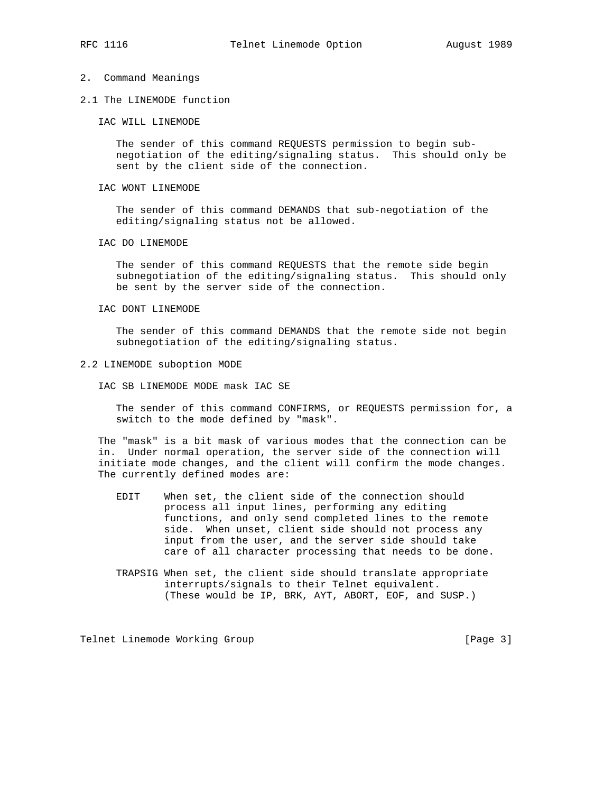#### 2. Command Meanings

2.1 The LINEMODE function

IAC WILL LINEMODE

 The sender of this command REQUESTS permission to begin sub negotiation of the editing/signaling status. This should only be sent by the client side of the connection.

IAC WONT LINEMODE

 The sender of this command DEMANDS that sub-negotiation of the editing/signaling status not be allowed.

IAC DO LINEMODE

 The sender of this command REQUESTS that the remote side begin subnegotiation of the editing/signaling status. This should only be sent by the server side of the connection.

IAC DONT LINEMODE

 The sender of this command DEMANDS that the remote side not begin subnegotiation of the editing/signaling status.

#### 2.2 LINEMODE suboption MODE

IAC SB LINEMODE MODE mask IAC SE

 The sender of this command CONFIRMS, or REQUESTS permission for, a switch to the mode defined by "mask".

 The "mask" is a bit mask of various modes that the connection can be in. Under normal operation, the server side of the connection will initiate mode changes, and the client will confirm the mode changes. The currently defined modes are:

- EDIT When set, the client side of the connection should process all input lines, performing any editing functions, and only send completed lines to the remote side. When unset, client side should not process any input from the user, and the server side should take care of all character processing that needs to be done.
- TRAPSIG When set, the client side should translate appropriate interrupts/signals to their Telnet equivalent. (These would be IP, BRK, AYT, ABORT, EOF, and SUSP.)

Telnet Linemode Working Group **[Page 3]** [Page 3]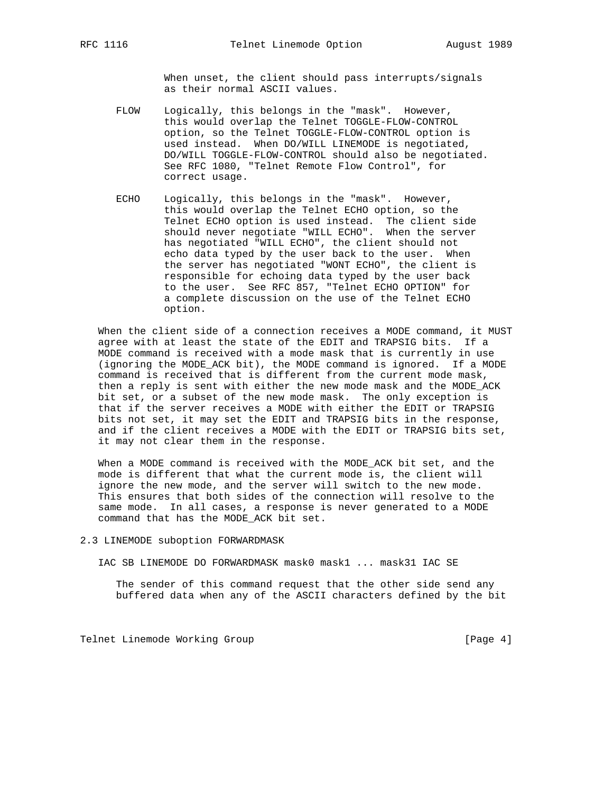When unset, the client should pass interrupts/signals as their normal ASCII values.

- FLOW Logically, this belongs in the "mask". However, this would overlap the Telnet TOGGLE-FLOW-CONTROL option, so the Telnet TOGGLE-FLOW-CONTROL option is used instead. When DO/WILL LINEMODE is negotiated, DO/WILL TOGGLE-FLOW-CONTROL should also be negotiated. See RFC 1080, "Telnet Remote Flow Control", for correct usage.
- ECHO Logically, this belongs in the "mask". However, this would overlap the Telnet ECHO option, so the Telnet ECHO option is used instead. The client side should never negotiate "WILL ECHO". When the server has negotiated "WILL ECHO", the client should not echo data typed by the user back to the user. When the server has negotiated "WONT ECHO", the client is responsible for echoing data typed by the user back to the user. See RFC 857, "Telnet ECHO OPTION" for a complete discussion on the use of the Telnet ECHO option.

 When the client side of a connection receives a MODE command, it MUST agree with at least the state of the EDIT and TRAPSIG bits. If a MODE command is received with a mode mask that is currently in use (ignoring the MODE\_ACK bit), the MODE command is ignored. If a MODE command is received that is different from the current mode mask, then a reply is sent with either the new mode mask and the MODE\_ACK bit set, or a subset of the new mode mask. The only exception is that if the server receives a MODE with either the EDIT or TRAPSIG bits not set, it may set the EDIT and TRAPSIG bits in the response, and if the client receives a MODE with the EDIT or TRAPSIG bits set, it may not clear them in the response.

 When a MODE command is received with the MODE\_ACK bit set, and the mode is different that what the current mode is, the client will ignore the new mode, and the server will switch to the new mode. This ensures that both sides of the connection will resolve to the same mode. In all cases, a response is never generated to a MODE command that has the MODE\_ACK bit set.

2.3 LINEMODE suboption FORWARDMASK

IAC SB LINEMODE DO FORWARDMASK mask0 mask1 ... mask31 IAC SE

 The sender of this command request that the other side send any buffered data when any of the ASCII characters defined by the bit

Telnet Linemode Working Group **by the Contract Contract Contract Contract Contract Contract Contract Contract Contract Contract Contract Contract Contract Contract Contract Contract Contract Contract Contract Contract Cont**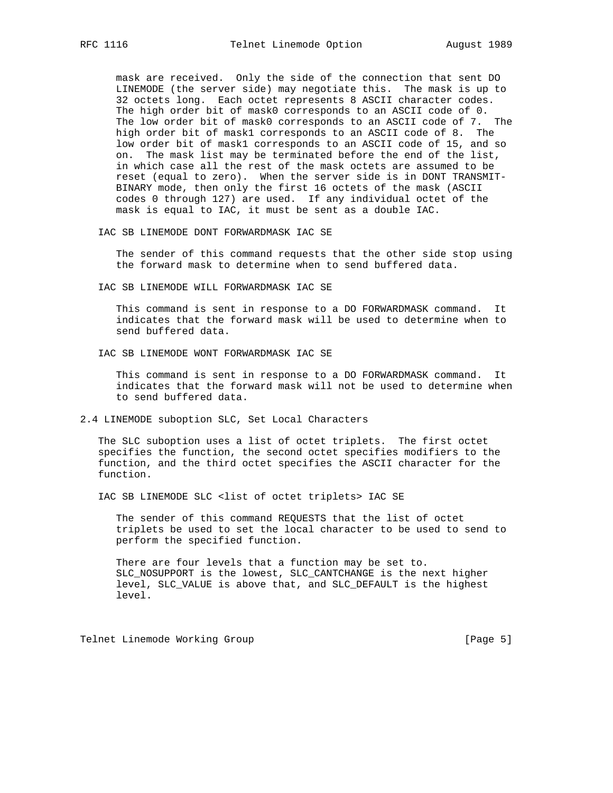mask are received. Only the side of the connection that sent DO LINEMODE (the server side) may negotiate this. The mask is up to 32 octets long. Each octet represents 8 ASCII character codes. The high order bit of mask0 corresponds to an ASCII code of 0. The low order bit of mask0 corresponds to an ASCII code of 7. The high order bit of mask1 corresponds to an ASCII code of 8. The low order bit of mask1 corresponds to an ASCII code of 15, and so on. The mask list may be terminated before the end of the list, in which case all the rest of the mask octets are assumed to be reset (equal to zero). When the server side is in DONT TRANSMIT- BINARY mode, then only the first 16 octets of the mask (ASCII codes 0 through 127) are used. If any individual octet of the mask is equal to IAC, it must be sent as a double IAC.

IAC SB LINEMODE DONT FORWARDMASK IAC SE

 The sender of this command requests that the other side stop using the forward mask to determine when to send buffered data.

IAC SB LINEMODE WILL FORWARDMASK IAC SE

 This command is sent in response to a DO FORWARDMASK command. It indicates that the forward mask will be used to determine when to send buffered data.

IAC SB LINEMODE WONT FORWARDMASK IAC SE

 This command is sent in response to a DO FORWARDMASK command. It indicates that the forward mask will not be used to determine when to send buffered data.

2.4 LINEMODE suboption SLC, Set Local Characters

 The SLC suboption uses a list of octet triplets. The first octet specifies the function, the second octet specifies modifiers to the function, and the third octet specifies the ASCII character for the function.

IAC SB LINEMODE SLC <list of octet triplets> IAC SE

 The sender of this command REQUESTS that the list of octet triplets be used to set the local character to be used to send to perform the specified function.

 There are four levels that a function may be set to. SLC\_NOSUPPORT is the lowest, SLC\_CANTCHANGE is the next higher level, SLC\_VALUE is above that, and SLC\_DEFAULT is the highest level.

Telnet Linemode Working Group **[Page 5]** [Page 5]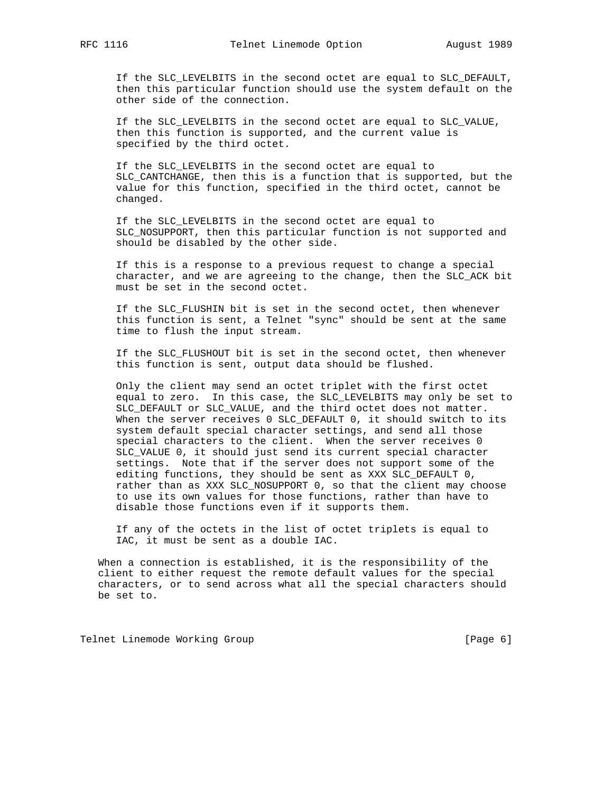If the SLC\_LEVELBITS in the second octet are equal to SLC\_DEFAULT, then this particular function should use the system default on the other side of the connection.

 If the SLC\_LEVELBITS in the second octet are equal to SLC\_VALUE, then this function is supported, and the current value is specified by the third octet.

 If the SLC\_LEVELBITS in the second octet are equal to SLC\_CANTCHANGE, then this is a function that is supported, but the value for this function, specified in the third octet, cannot be changed.

 If the SLC\_LEVELBITS in the second octet are equal to SLC\_NOSUPPORT, then this particular function is not supported and should be disabled by the other side.

 If this is a response to a previous request to change a special character, and we are agreeing to the change, then the SLC\_ACK bit must be set in the second octet.

 If the SLC\_FLUSHIN bit is set in the second octet, then whenever this function is sent, a Telnet "sync" should be sent at the same time to flush the input stream.

 If the SLC\_FLUSHOUT bit is set in the second octet, then whenever this function is sent, output data should be flushed.

 Only the client may send an octet triplet with the first octet equal to zero. In this case, the SLC\_LEVELBITS may only be set to SLC\_DEFAULT or SLC\_VALUE, and the third octet does not matter. When the server receives 0 SLC\_DEFAULT 0, it should switch to its system default special character settings, and send all those special characters to the client. When the server receives 0 SLC\_VALUE 0, it should just send its current special character settings. Note that if the server does not support some of the editing functions, they should be sent as XXX SLC\_DEFAULT 0, rather than as XXX SLC\_NOSUPPORT 0, so that the client may choose to use its own values for those functions, rather than have to disable those functions even if it supports them.

 If any of the octets in the list of octet triplets is equal to IAC, it must be sent as a double IAC.

 When a connection is established, it is the responsibility of the client to either request the remote default values for the special characters, or to send across what all the special characters should be set to.

Telnet Linemode Working Group **[Page 6]** [Page 6]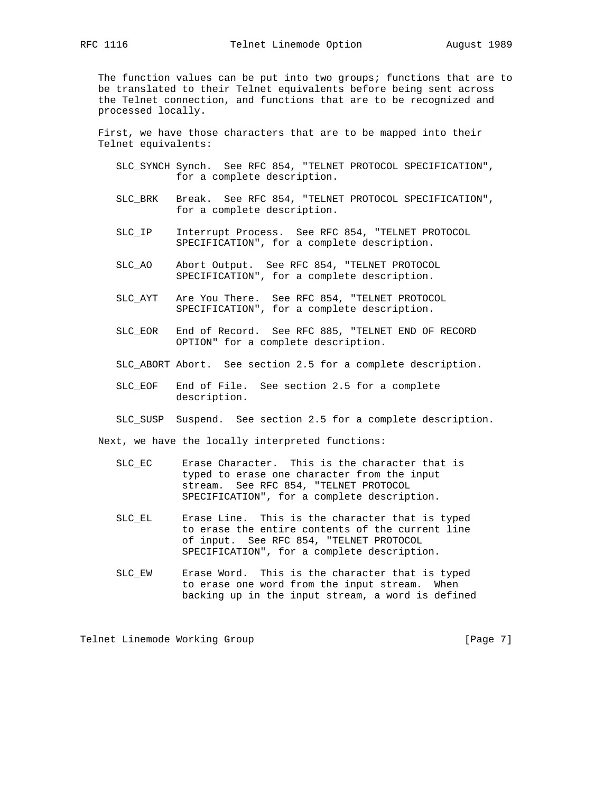The function values can be put into two groups; functions that are to be translated to their Telnet equivalents before being sent across the Telnet connection, and functions that are to be recognized and processed locally.

 First, we have those characters that are to be mapped into their Telnet equivalents:

- SLC\_SYNCH Synch. See RFC 854, "TELNET PROTOCOL SPECIFICATION", for a complete description.
- SLC\_BRK Break. See RFC 854, "TELNET PROTOCOL SPECIFICATION", for a complete description.
- SLC\_IP Interrupt Process. See RFC 854, "TELNET PROTOCOL SPECIFICATION", for a complete description.
- SLC\_AO Abort Output. See RFC 854, "TELNET PROTOCOL SPECIFICATION", for a complete description.
- SLC\_AYT Are You There. See RFC 854, "TELNET PROTOCOL SPECIFICATION", for a complete description.
- SLC\_EOR End of Record. See RFC 885, "TELNET END OF RECORD OPTION" for a complete description.
- SLC\_ABORT Abort. See section 2.5 for a complete description.
- SLC\_EOF End of File. See section 2.5 for a complete description.
- SLC\_SUSP Suspend. See section 2.5 for a complete description.

Next, we have the locally interpreted functions:

- SLC\_EC Erase Character. This is the character that is typed to erase one character from the input stream. See RFC 854, "TELNET PROTOCOL SPECIFICATION", for a complete description.
- SLC\_EL Erase Line. This is the character that is typed to erase the entire contents of the current line of input. See RFC 854, "TELNET PROTOCOL SPECIFICATION", for a complete description.
- SLC\_EW Erase Word. This is the character that is typed to erase one word from the input stream. When backing up in the input stream, a word is defined

Telnet Linemode Working Group **[Page 7]** [Page 7]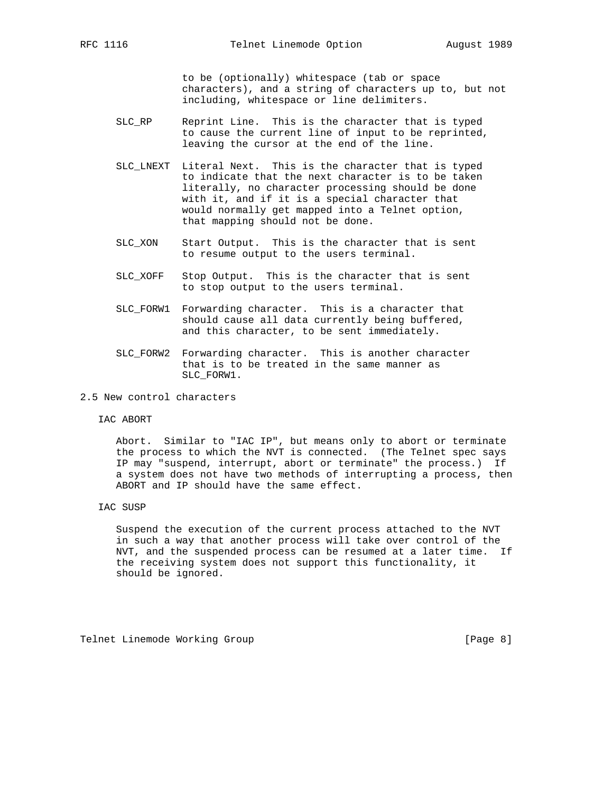to be (optionally) whitespace (tab or space characters), and a string of characters up to, but not including, whitespace or line delimiters.

- SLC\_RP Reprint Line. This is the character that is typed to cause the current line of input to be reprinted, leaving the cursor at the end of the line.
- SLC\_LNEXT Literal Next. This is the character that is typed to indicate that the next character is to be taken literally, no character processing should be done with it, and if it is a special character that would normally get mapped into a Telnet option, that mapping should not be done.
- SLC\_XON Start Output. This is the character that is sent to resume output to the users terminal.
- SLC\_XOFF Stop Output. This is the character that is sent to stop output to the users terminal.
- SLC\_FORW1 Forwarding character. This is a character that should cause all data currently being buffered, and this character, to be sent immediately.
- SLC\_FORW2 Forwarding character. This is another character that is to be treated in the same manner as SLC\_FORW1.
- 2.5 New control characters
	- IAC ABORT

 Abort. Similar to "IAC IP", but means only to abort or terminate the process to which the NVT is connected. (The Telnet spec says IP may "suspend, interrupt, abort or terminate" the process.) If a system does not have two methods of interrupting a process, then ABORT and IP should have the same effect.

IAC SUSP

 Suspend the execution of the current process attached to the NVT in such a way that another process will take over control of the NVT, and the suspended process can be resumed at a later time. If the receiving system does not support this functionality, it should be ignored.

Telnet Linemode Working Group **[Page 8]** [Page 8]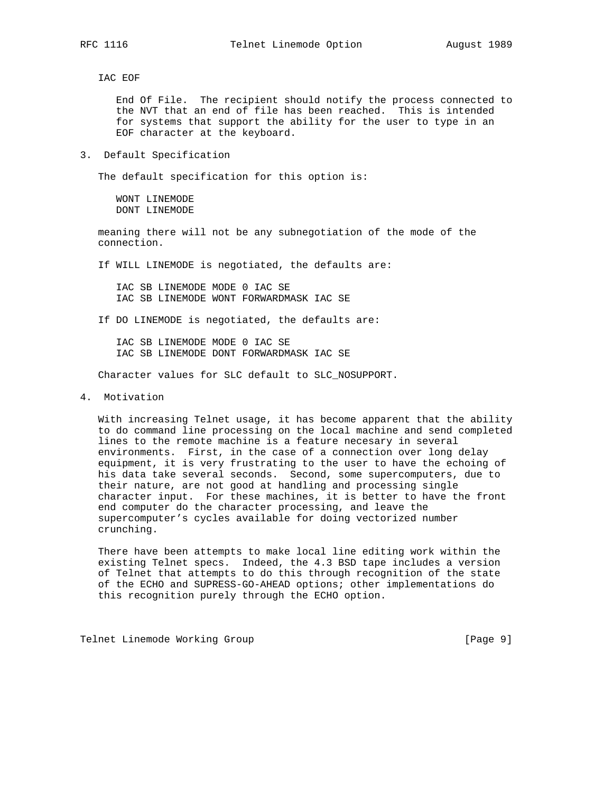IAC EOF

 End Of File. The recipient should notify the process connected to the NVT that an end of file has been reached. This is intended for systems that support the ability for the user to type in an EOF character at the keyboard.

3. Default Specification

The default specification for this option is:

 WONT LINEMODE DONT LINEMODE

 meaning there will not be any subnegotiation of the mode of the connection.

If WILL LINEMODE is negotiated, the defaults are:

 IAC SB LINEMODE MODE 0 IAC SE IAC SB LINEMODE WONT FORWARDMASK IAC SE

If DO LINEMODE is negotiated, the defaults are:

 IAC SB LINEMODE MODE 0 IAC SE IAC SB LINEMODE DONT FORWARDMASK IAC SE

Character values for SLC default to SLC\_NOSUPPORT.

4. Motivation

 With increasing Telnet usage, it has become apparent that the ability to do command line processing on the local machine and send completed lines to the remote machine is a feature necesary in several environments. First, in the case of a connection over long delay equipment, it is very frustrating to the user to have the echoing of his data take several seconds. Second, some supercomputers, due to their nature, are not good at handling and processing single character input. For these machines, it is better to have the front end computer do the character processing, and leave the supercomputer's cycles available for doing vectorized number crunching.

 There have been attempts to make local line editing work within the existing Telnet specs. Indeed, the 4.3 BSD tape includes a version of Telnet that attempts to do this through recognition of the state of the ECHO and SUPRESS-GO-AHEAD options; other implementations do this recognition purely through the ECHO option.

Telnet Linemode Working Group **[Page 9]** [Page 9]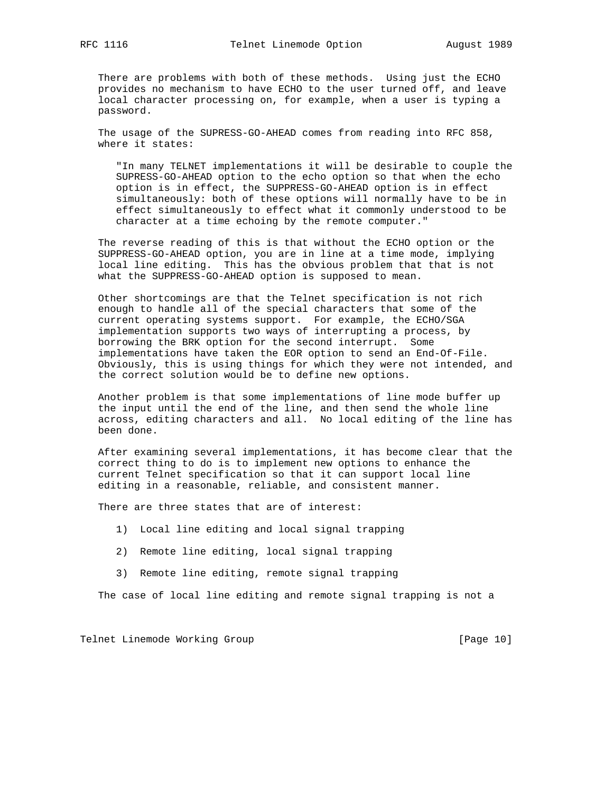There are problems with both of these methods. Using just the ECHO provides no mechanism to have ECHO to the user turned off, and leave local character processing on, for example, when a user is typing a password.

 The usage of the SUPRESS-GO-AHEAD comes from reading into RFC 858, where it states:

 "In many TELNET implementations it will be desirable to couple the SUPRESS-GO-AHEAD option to the echo option so that when the echo option is in effect, the SUPPRESS-GO-AHEAD option is in effect simultaneously: both of these options will normally have to be in effect simultaneously to effect what it commonly understood to be character at a time echoing by the remote computer."

 The reverse reading of this is that without the ECHO option or the SUPPRESS-GO-AHEAD option, you are in line at a time mode, implying local line editing. This has the obvious problem that that is not what the SUPPRESS-GO-AHEAD option is supposed to mean.

 Other shortcomings are that the Telnet specification is not rich enough to handle all of the special characters that some of the current operating systems support. For example, the ECHO/SGA implementation supports two ways of interrupting a process, by borrowing the BRK option for the second interrupt. Some implementations have taken the EOR option to send an End-Of-File. Obviously, this is using things for which they were not intended, and the correct solution would be to define new options.

 Another problem is that some implementations of line mode buffer up the input until the end of the line, and then send the whole line across, editing characters and all. No local editing of the line has been done.

 After examining several implementations, it has become clear that the correct thing to do is to implement new options to enhance the current Telnet specification so that it can support local line editing in a reasonable, reliable, and consistent manner.

There are three states that are of interest:

- 1) Local line editing and local signal trapping
- 2) Remote line editing, local signal trapping
- 3) Remote line editing, remote signal trapping

The case of local line editing and remote signal trapping is not a

Telnet Linemode Working Group **[Page 10]** [Page 10]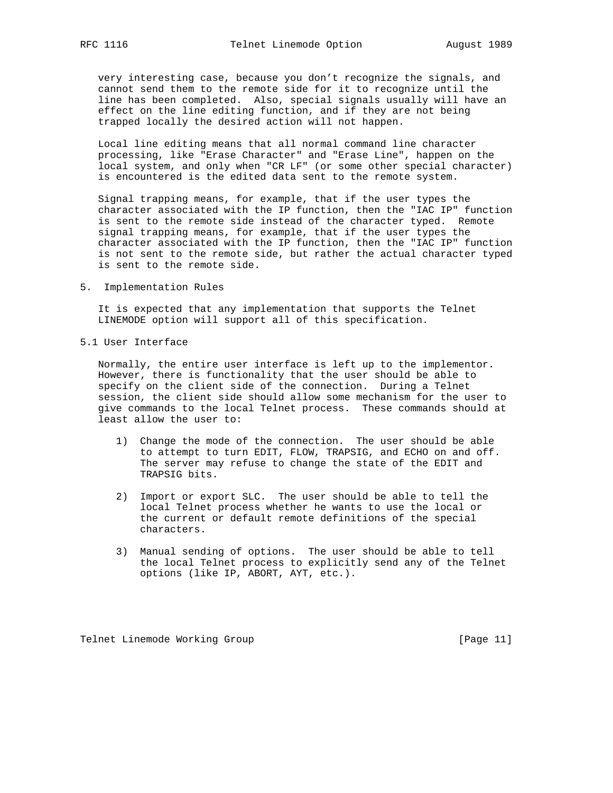very interesting case, because you don't recognize the signals, and cannot send them to the remote side for it to recognize until the line has been completed. Also, special signals usually will have an effect on the line editing function, and if they are not being trapped locally the desired action will not happen.

 Local line editing means that all normal command line character processing, like "Erase Character" and "Erase Line", happen on the local system, and only when "CR LF" (or some other special character) is encountered is the edited data sent to the remote system.

 Signal trapping means, for example, that if the user types the character associated with the IP function, then the "IAC IP" function is sent to the remote side instead of the character typed. Remote signal trapping means, for example, that if the user types the character associated with the IP function, then the "IAC IP" function is not sent to the remote side, but rather the actual character typed is sent to the remote side.

5. Implementation Rules

 It is expected that any implementation that supports the Telnet LINEMODE option will support all of this specification.

5.1 User Interface

 Normally, the entire user interface is left up to the implementor. However, there is functionality that the user should be able to specify on the client side of the connection. During a Telnet session, the client side should allow some mechanism for the user to give commands to the local Telnet process. These commands should at least allow the user to:

- 1) Change the mode of the connection. The user should be able to attempt to turn EDIT, FLOW, TRAPSIG, and ECHO on and off. The server may refuse to change the state of the EDIT and TRAPSIG bits.
- 2) Import or export SLC. The user should be able to tell the local Telnet process whether he wants to use the local or the current or default remote definitions of the special characters.
- 3) Manual sending of options. The user should be able to tell the local Telnet process to explicitly send any of the Telnet options (like IP, ABORT, AYT, etc.).

Telnet Linemode Working Group **[Page 11]** [Page 11]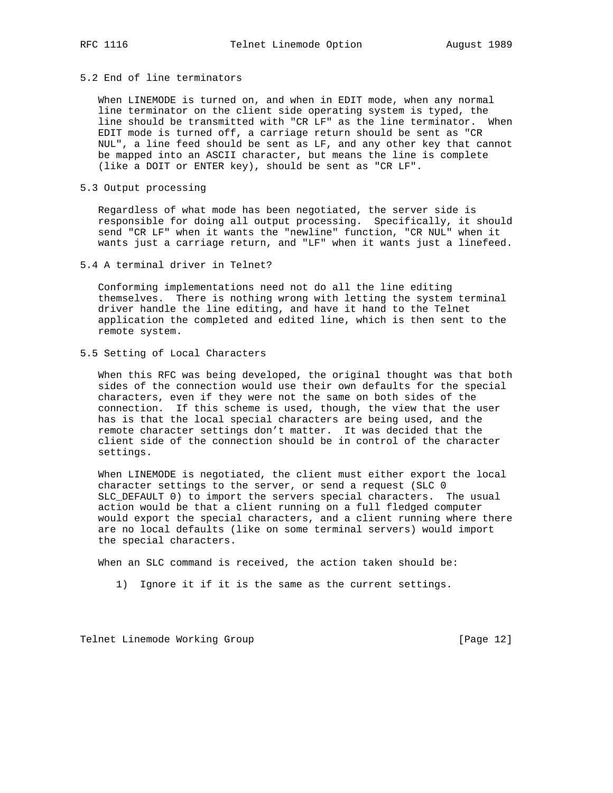# 5.2 End of line terminators

 When LINEMODE is turned on, and when in EDIT mode, when any normal line terminator on the client side operating system is typed, the line should be transmitted with "CR LF" as the line terminator. When EDIT mode is turned off, a carriage return should be sent as "CR NUL", a line feed should be sent as LF, and any other key that cannot be mapped into an ASCII character, but means the line is complete (like a DOIT or ENTER key), should be sent as "CR LF".

5.3 Output processing

 Regardless of what mode has been negotiated, the server side is responsible for doing all output processing. Specifically, it should send "CR LF" when it wants the "newline" function, "CR NUL" when it wants just a carriage return, and "LF" when it wants just a linefeed.

5.4 A terminal driver in Telnet?

 Conforming implementations need not do all the line editing themselves. There is nothing wrong with letting the system terminal driver handle the line editing, and have it hand to the Telnet application the completed and edited line, which is then sent to the remote system.

5.5 Setting of Local Characters

 When this RFC was being developed, the original thought was that both sides of the connection would use their own defaults for the special characters, even if they were not the same on both sides of the connection. If this scheme is used, though, the view that the user has is that the local special characters are being used, and the remote character settings don't matter. It was decided that the client side of the connection should be in control of the character settings.

 When LINEMODE is negotiated, the client must either export the local character settings to the server, or send a request (SLC 0 SLC\_DEFAULT 0) to import the servers special characters. The usual action would be that a client running on a full fledged computer would export the special characters, and a client running where there are no local defaults (like on some terminal servers) would import the special characters.

When an SLC command is received, the action taken should be:

1) Ignore it if it is the same as the current settings.

Telnet Linemode Working Group **[Page 12]** [Page 12]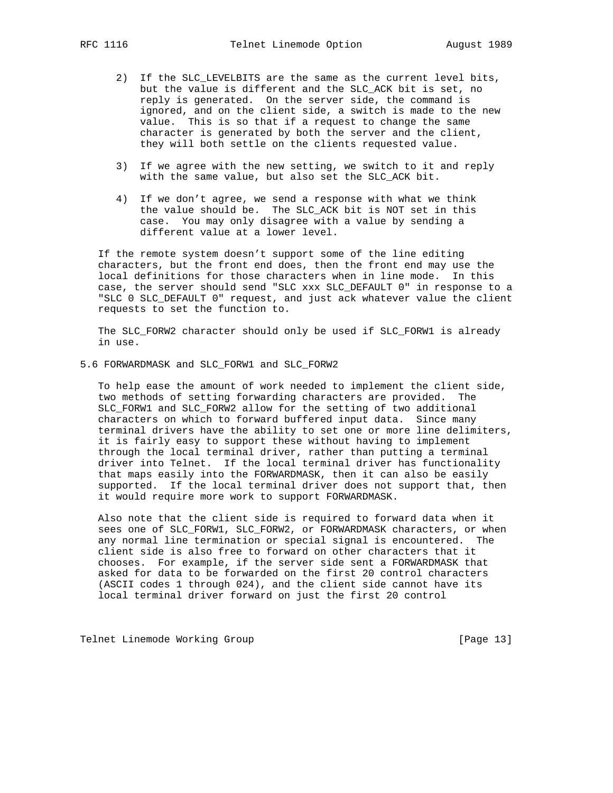- 2) If the SLC\_LEVELBITS are the same as the current level bits, but the value is different and the SLC\_ACK bit is set, no reply is generated. On the server side, the command is ignored, and on the client side, a switch is made to the new value. This is so that if a request to change the same character is generated by both the server and the client, they will both settle on the clients requested value.
- 3) If we agree with the new setting, we switch to it and reply with the same value, but also set the SLC ACK bit.
- 4) If we don't agree, we send a response with what we think the value should be. The SLC\_ACK bit is NOT set in this case. You may only disagree with a value by sending a different value at a lower level.

 If the remote system doesn't support some of the line editing characters, but the front end does, then the front end may use the local definitions for those characters when in line mode. In this case, the server should send "SLC xxx SLC\_DEFAULT 0" in response to a "SLC 0 SLC\_DEFAULT 0" request, and just ack whatever value the client requests to set the function to.

 The SLC\_FORW2 character should only be used if SLC\_FORW1 is already in use.

5.6 FORWARDMASK and SLC\_FORW1 and SLC\_FORW2

 To help ease the amount of work needed to implement the client side, two methods of setting forwarding characters are provided. The SLC\_FORW1 and SLC\_FORW2 allow for the setting of two additional characters on which to forward buffered input data. Since many terminal drivers have the ability to set one or more line delimiters, it is fairly easy to support these without having to implement through the local terminal driver, rather than putting a terminal driver into Telnet. If the local terminal driver has functionality that maps easily into the FORWARDMASK, then it can also be easily supported. If the local terminal driver does not support that, then it would require more work to support FORWARDMASK.

 Also note that the client side is required to forward data when it sees one of SLC\_FORW1, SLC\_FORW2, or FORWARDMASK characters, or when any normal line termination or special signal is encountered. The client side is also free to forward on other characters that it chooses. For example, if the server side sent a FORWARDMASK that asked for data to be forwarded on the first 20 control characters (ASCII codes 1 through 024), and the client side cannot have its local terminal driver forward on just the first 20 control

Telnet Linemode Working Group **[Page 13]** [Page 13]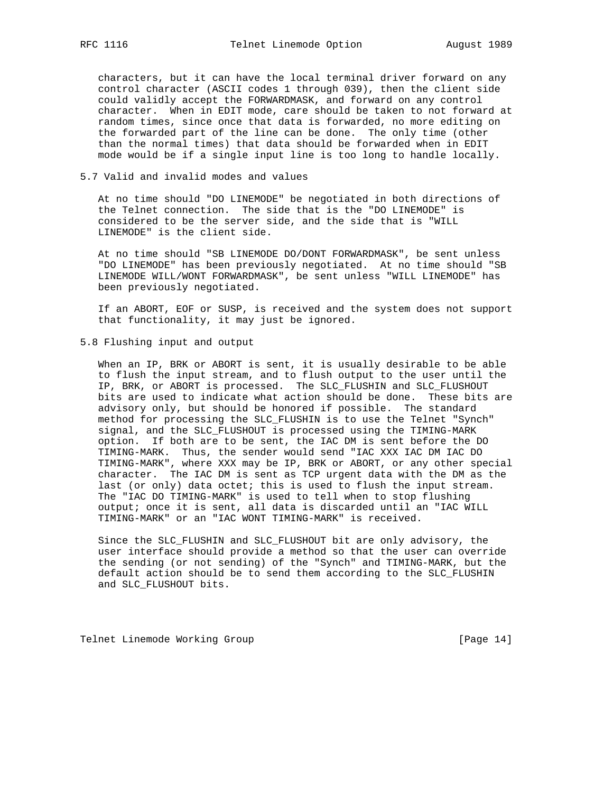characters, but it can have the local terminal driver forward on any control character (ASCII codes 1 through 039), then the client side could validly accept the FORWARDMASK, and forward on any control character. When in EDIT mode, care should be taken to not forward at random times, since once that data is forwarded, no more editing on the forwarded part of the line can be done. The only time (other than the normal times) that data should be forwarded when in EDIT mode would be if a single input line is too long to handle locally.

5.7 Valid and invalid modes and values

 At no time should "DO LINEMODE" be negotiated in both directions of the Telnet connection. The side that is the "DO LINEMODE" is considered to be the server side, and the side that is "WILL LINEMODE" is the client side.

 At no time should "SB LINEMODE DO/DONT FORWARDMASK", be sent unless "DO LINEMODE" has been previously negotiated. At no time should "SB LINEMODE WILL/WONT FORWARDMASK", be sent unless "WILL LINEMODE" has been previously negotiated.

 If an ABORT, EOF or SUSP, is received and the system does not support that functionality, it may just be ignored.

5.8 Flushing input and output

 When an IP, BRK or ABORT is sent, it is usually desirable to be able to flush the input stream, and to flush output to the user until the IP, BRK, or ABORT is processed. The SLC\_FLUSHIN and SLC\_FLUSHOUT bits are used to indicate what action should be done. These bits are advisory only, but should be honored if possible. The standard method for processing the SLC\_FLUSHIN is to use the Telnet "Synch" signal, and the SLC\_FLUSHOUT is processed using the TIMING-MARK option. If both are to be sent, the IAC DM is sent before the DO TIMING-MARK. Thus, the sender would send "IAC XXX IAC DM IAC DO TIMING-MARK", where XXX may be IP, BRK or ABORT, or any other special character. The IAC DM is sent as TCP urgent data with the DM as the last (or only) data octet; this is used to flush the input stream. The "IAC DO TIMING-MARK" is used to tell when to stop flushing output; once it is sent, all data is discarded until an "IAC WILL TIMING-MARK" or an "IAC WONT TIMING-MARK" is received.

 Since the SLC\_FLUSHIN and SLC\_FLUSHOUT bit are only advisory, the user interface should provide a method so that the user can override the sending (or not sending) of the "Synch" and TIMING-MARK, but the default action should be to send them according to the SLC\_FLUSHIN and SLC\_FLUSHOUT bits.

Telnet Linemode Working Group **[Page 14]** [Page 14]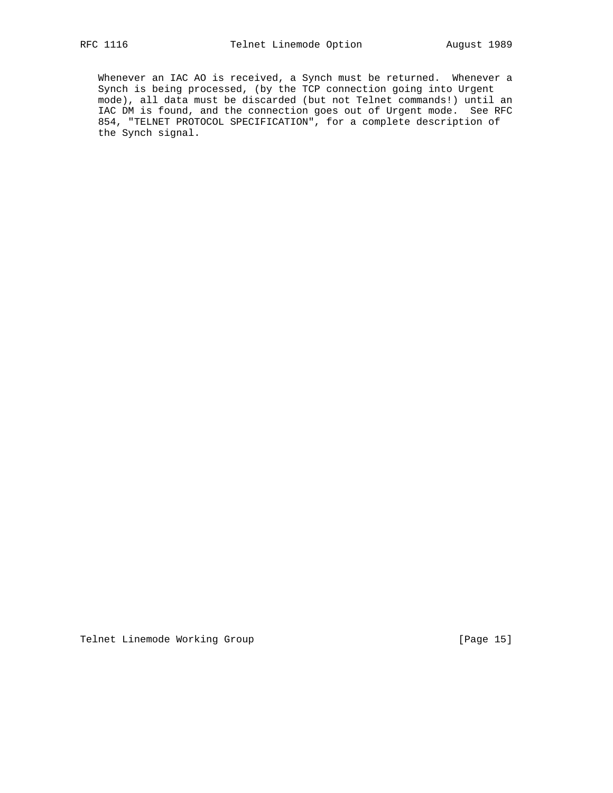Whenever an IAC AO is received, a Synch must be returned. Whenever a Synch is being processed, (by the TCP connection going into Urgent mode), all data must be discarded (but not Telnet commands!) until an IAC DM is found, and the connection goes out of Urgent mode. See RFC 854, "TELNET PROTOCOL SPECIFICATION", for a complete description of the Synch signal.

Telnet Linemode Working Group **[Page 15]** [Page 15]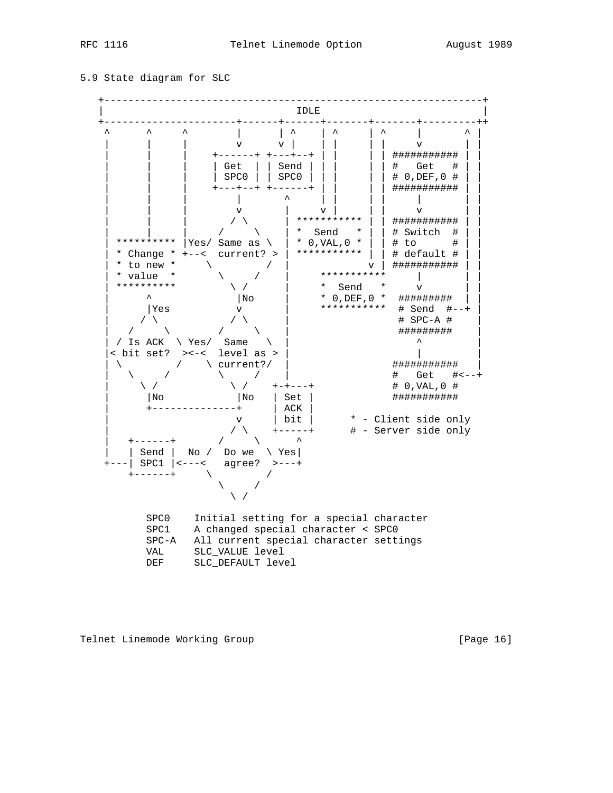#### 5.9 State diagram for SLC



Telnet Linemode Working Group **[Page 16]** [Page 16]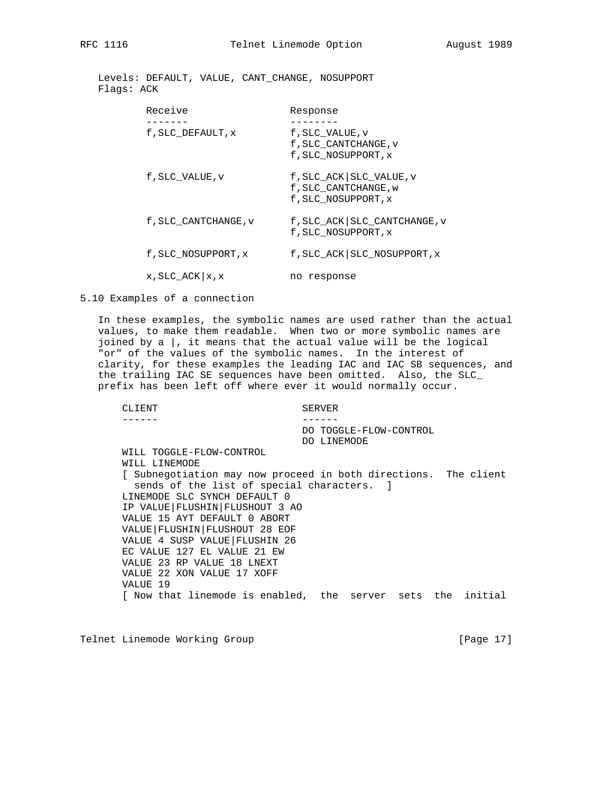Levels: DEFAULT, VALUE, CANT\_CHANGE, NOSUPPORT Flags: ACK

| Receive               | Response                                                                 |
|-----------------------|--------------------------------------------------------------------------|
| f, SLC DEFAULT, x     | f, SLC VALUE, v<br>f, SLC CANTCHANGE, v<br>f, SLC NOSUPPORT, x           |
| f, SLC VALUE, v       | f, SLC_ACK   SLC_VALUE, v<br>f, SLC CANTCHANGE, w<br>f, SLC NOSUPPORT, x |
| f, SLC CANTCHANGE, v  | f, SLC_ACK   SLC_CANTCHANGE, v<br>f, SLC NOSUPPORT, x                    |
| f, SLC NOSUPPORT, x   | f, SLC_ACK   SLC_NOSUPPORT, x                                            |
| $x$ , SLC_ACK $x$ , x | no response                                                              |

5.10 Examples of a connection

 In these examples, the symbolic names are used rather than the actual values, to make them readable. When two or more symbolic names are joined by a |, it means that the actual value will be the logical "or" of the values of the symbolic names. In the interest of clarity, for these examples the leading IAC and IAC SB sequences, and the trailing IAC SE sequences have been omitted. Also, the SLC\_ prefix has been left off where ever it would normally occur.

```
CLIENT SERVER
------ ------
                            DO TOGGLE-FLOW-CONTROL
                           DO LINEMODE
WILL TOGGLE-FLOW-CONTROL
WILL LINEMODE
[ Subnegotiation may now proceed in both directions. The client
  sends of the list of special characters. ]
LINEMODE SLC SYNCH DEFAULT 0
IP VALUE|FLUSHIN|FLUSHOUT 3 AO
VALUE 15 AYT DEFAULT 0 ABORT
VALUE|FLUSHIN|FLUSHOUT 28 EOF
VALUE 4 SUSP VALUE|FLUSHIN 26
EC VALUE 127 EL VALUE 21 EW
VALUE 23 RP VALUE 18 LNEXT
VALUE 22 XON VALUE 17 XOFF
VALUE 19
[ Now that linemode is enabled, the server sets the initial
```
Telnet Linemode Working Group **[Page 17]** [Page 17]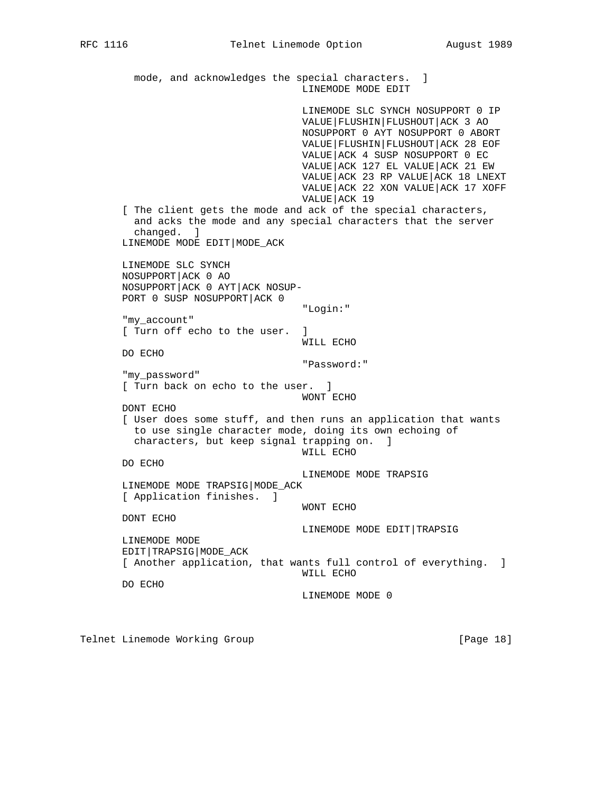mode, and acknowledges the special characters. ] LINEMODE MODE EDIT LINEMODE SLC SYNCH NOSUPPORT 0 IP VALUE|FLUSHIN|FLUSHOUT|ACK 3 AO NOSUPPORT 0 AYT NOSUPPORT 0 ABORT VALUE|FLUSHIN|FLUSHOUT|ACK 28 EOF VALUE|ACK 4 SUSP NOSUPPORT 0 EC VALUE|ACK 127 EL VALUE|ACK 21 EW VALUE|ACK 23 RP VALUE|ACK 18 LNEXT VALUE|ACK 22 XON VALUE|ACK 17 XOFF VALUE|ACK 19 [ The client gets the mode and ack of the special characters, and acks the mode and any special characters that the server changed. ] LINEMODE MODE EDIT|MODE\_ACK LINEMODE SLC SYNCH NOSUPPORT|ACK 0 AO NOSUPPORT|ACK 0 AYT|ACK NOSUP- PORT 0 SUSP NOSUPPORT|ACK 0 "Login:" "my\_account" [ Turn off echo to the user. ] WILL ECHO DO ECHO "Password:" "my\_password" [ Turn back on echo to the user. ] WONT ECHO DONT ECHO [ User does some stuff, and then runs an application that wants to use single character mode, doing its own echoing of characters, but keep signal trapping on. ] WILL ECHO DO ECHO LINEMODE MODE TRAPSIG LINEMODE MODE TRAPSIG|MODE\_ACK [ Application finishes. ] WONT ECHO DONT ECHO LINEMODE MODE EDIT|TRAPSIG LINEMODE MODE EDIT|TRAPSIG|MODE\_ACK [ Another application, that wants full control of everything. ] WILL ECHO DO ECHO LINEMODE MODE 0

Telnet Linemode Working Group **[Page 18]** [Page 18]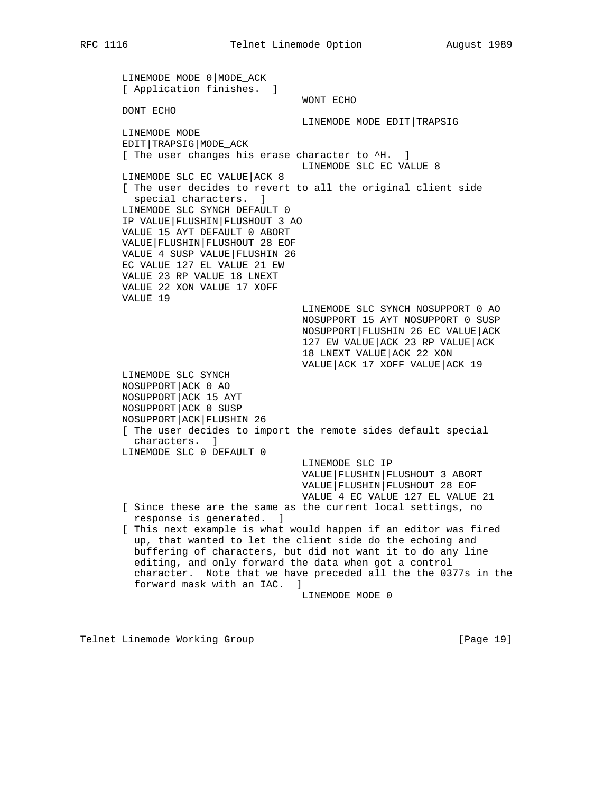LINEMODE MODE 0|MODE\_ACK [ Application finishes. ] WONT ECHO DONT ECHO LINEMODE MODE EDIT|TRAPSIG LINEMODE MODE EDIT|TRAPSIG|MODE\_ACK [ The user changes his erase character to ^H. ] LINEMODE SLC EC VALUE 8 LINEMODE SLC EC VALUE|ACK 8 [ The user decides to revert to all the original client side special characters. ] LINEMODE SLC SYNCH DEFAULT 0 IP VALUE|FLUSHIN|FLUSHOUT 3 AO VALUE 15 AYT DEFAULT 0 ABORT VALUE|FLUSHIN|FLUSHOUT 28 EOF VALUE 4 SUSP VALUE|FLUSHIN 26 EC VALUE 127 EL VALUE 21 EW VALUE 23 RP VALUE 18 LNEXT VALUE 22 XON VALUE 17 XOFF VALUE 19 LINEMODE SLC SYNCH NOSUPPORT 0 AO NOSUPPORT 15 AYT NOSUPPORT 0 SUSP NOSUPPORT|FLUSHIN 26 EC VALUE|ACK 127 EW VALUE|ACK 23 RP VALUE|ACK 18 LNEXT VALUE|ACK 22 XON VALUE|ACK 17 XOFF VALUE|ACK 19 LINEMODE SLC SYNCH NOSUPPORT|ACK 0 AO NOSUPPORT|ACK 15 AYT NOSUPPORT|ACK 0 SUSP NOSUPPORT|ACK|FLUSHIN 26 [ The user decides to import the remote sides default special characters. ] LINEMODE SLC 0 DEFAULT 0 LINEMODE SLC IP VALUE|FLUSHIN|FLUSHOUT 3 ABORT VALUE|FLUSHIN|FLUSHOUT 28 EOF VALUE 4 EC VALUE 127 EL VALUE 21 [ Since these are the same as the current local settings, no response is generated. ] [ This next example is what would happen if an editor was fired up, that wanted to let the client side do the echoing and buffering of characters, but did not want it to do any line editing, and only forward the data when got a control character. Note that we have preceded all the the 0377s in the forward mask with an IAC. ] LINEMODE MODE 0

Telnet Linemode Working Group **[Page 19]** [Page 19]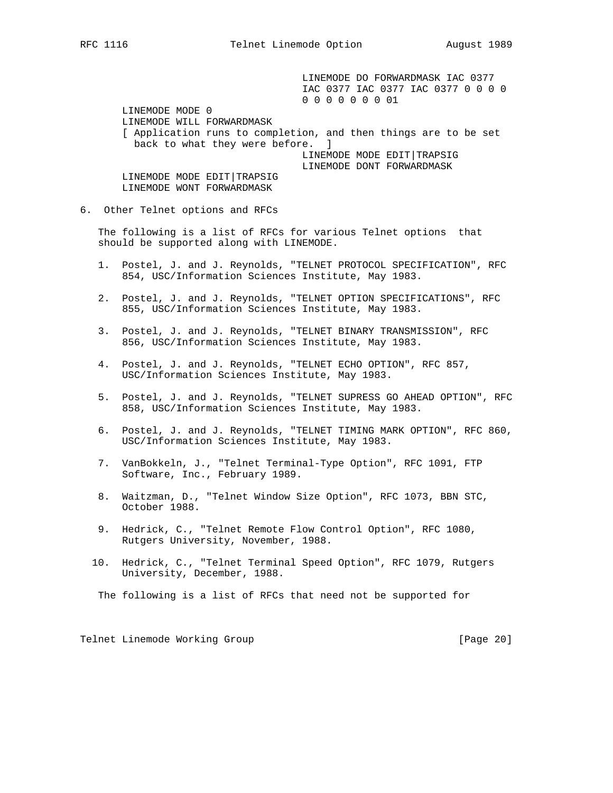LINEMODE DO FORWARDMASK IAC 0377 IAC 0377 IAC 0377 IAC 0377 0 0 0 0 0 0 0 0 0 0 0 01 LINEMODE MODE 0 LINEMODE WILL FORWARDMASK [ Application runs to completion, and then things are to be set back to what they were before. ] LINEMODE MODE EDIT|TRAPSIG LINEMODE DONT FORWARDMASK LINEMODE MODE EDIT TRAPSIG LINEMODE WONT FORWARDMASK

#### 6. Other Telnet options and RFCs

 The following is a list of RFCs for various Telnet options that should be supported along with LINEMODE.

- 1. Postel, J. and J. Reynolds, "TELNET PROTOCOL SPECIFICATION", RFC 854, USC/Information Sciences Institute, May 1983.
- 2. Postel, J. and J. Reynolds, "TELNET OPTION SPECIFICATIONS", RFC 855, USC/Information Sciences Institute, May 1983.
- 3. Postel, J. and J. Reynolds, "TELNET BINARY TRANSMISSION", RFC 856, USC/Information Sciences Institute, May 1983.
- 4. Postel, J. and J. Reynolds, "TELNET ECHO OPTION", RFC 857, USC/Information Sciences Institute, May 1983.
- 5. Postel, J. and J. Reynolds, "TELNET SUPRESS GO AHEAD OPTION", RFC 858, USC/Information Sciences Institute, May 1983.
- 6. Postel, J. and J. Reynolds, "TELNET TIMING MARK OPTION", RFC 860, USC/Information Sciences Institute, May 1983.
- 7. VanBokkeln, J., "Telnet Terminal-Type Option", RFC 1091, FTP Software, Inc., February 1989.
- 8. Waitzman, D., "Telnet Window Size Option", RFC 1073, BBN STC, October 1988.
- 9. Hedrick, C., "Telnet Remote Flow Control Option", RFC 1080, Rutgers University, November, 1988.
- 10. Hedrick, C., "Telnet Terminal Speed Option", RFC 1079, Rutgers University, December, 1988.

The following is a list of RFCs that need not be supported for

Telnet Linemode Working Group **[Page 20]** [Page 20]